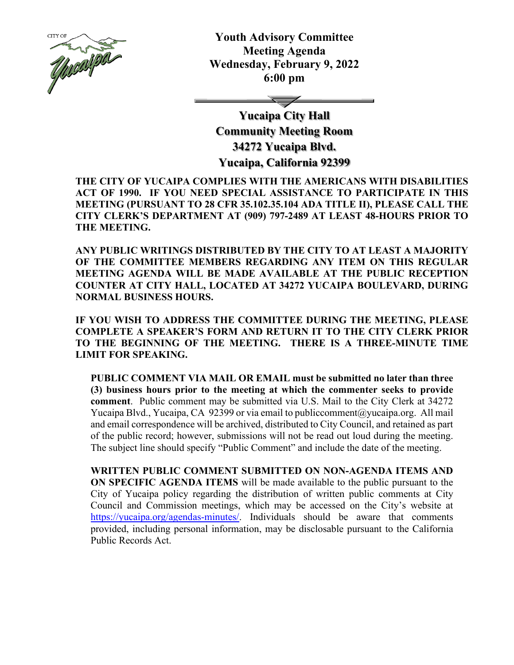

**Youth Advisory Committee Meeting Agenda Wednesday, February 9, 2022 6:00 pm**

**Yucaipa City Hall Community Meeting Room 34272 Yucaipa Blvd. Yucaipa, California 92399**

**THE CITY OF YUCAIPA COMPLIES WITH THE AMERICANS WITH DISABILITIES ACT OF 1990. IF YOU NEED SPECIAL ASSISTANCE TO PARTICIPATE IN THIS MEETING (PURSUANT TO 28 CFR 35.102.35.104 ADA TITLE II), PLEASE CALL THE CITY CLERK'S DEPARTMENT AT (909) 797-2489 AT LEAST 48-HOURS PRIOR TO THE MEETING.**

**ANY PUBLIC WRITINGS DISTRIBUTED BY THE CITY TO AT LEAST A MAJORITY OF THE COMMITTEE MEMBERS REGARDING ANY ITEM ON THIS REGULAR MEETING AGENDA WILL BE MADE AVAILABLE AT THE PUBLIC RECEPTION COUNTER AT CITY HALL, LOCATED AT 34272 YUCAIPA BOULEVARD, DURING NORMAL BUSINESS HOURS.** 

**IF YOU WISH TO ADDRESS THE COMMITTEE DURING THE MEETING, PLEASE COMPLETE A SPEAKER'S FORM AND RETURN IT TO THE CITY CLERK PRIOR TO THE BEGINNING OF THE MEETING. THERE IS A THREE-MINUTE TIME LIMIT FOR SPEAKING.**

**PUBLIC COMMENT VIA MAIL OR EMAIL must be submitted no later than three (3) business hours prior to the meeting at which the commenter seeks to provide comment**. Public comment may be submitted via U.S. Mail to the City Clerk at 34272 Yucaipa Blvd., Yucaipa, CA 92399 or via email t[o publiccomment@yucaipa.org.](mailto:publiccomment@yucaipa.org) All mail and email correspondence will be archived, distributed to City Council, and retained as part of the public record; however, submissions will not be read out loud during the meeting. The subject line should specify "Public Comment" and include the date of the meeting.

**WRITTEN PUBLIC COMMENT SUBMITTED ON NON-AGENDA ITEMS AND ON SPECIFIC AGENDA ITEMS** will be made available to the public pursuant to the City of Yucaipa policy regarding the distribution of written public comments at City Council and Commission meetings, which may be accessed on the City's website at [https://yucaipa.org/agendas-minutes/.](https://yucaipa.org/agendas-minutes/) Individuals should be aware that comments provided, including personal information, may be disclosable pursuant to the California Public Records Act.